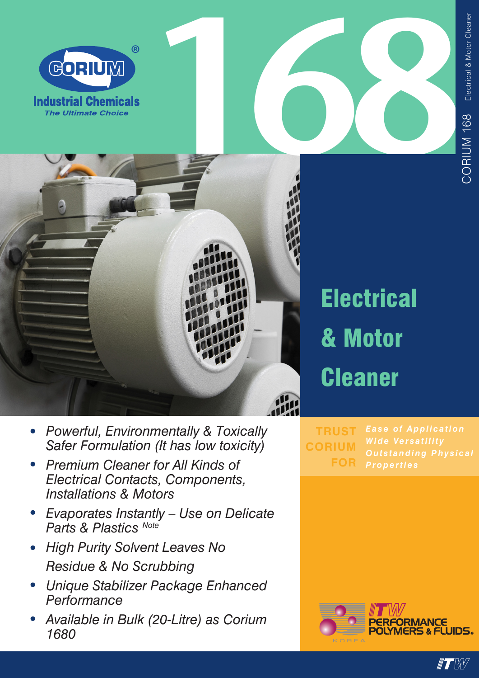





## **Electrical** & Motor **Cleaner**

**TRUST CORIUM FOR Properties** 

PERFORMANCE<br>POLYMERS & FLUIDS.

 $\blacksquare$ 

- Powerful, Environmentally & Toxically  $\bullet$ Safer Formulation (It has low toxicity)
- Premium Cleaner for All Kinds of **Electrical Contacts, Components, Installations & Motors**
- Evaporates Instantly Use on Delicate<br>Parts & Plastics Note
- High Purity Solvent Leaves No Residue & No Scrubbing
- Unique Stabilizer Package Enhanced Performance
- Available in Bulk (20-Litre) as Corium 1680